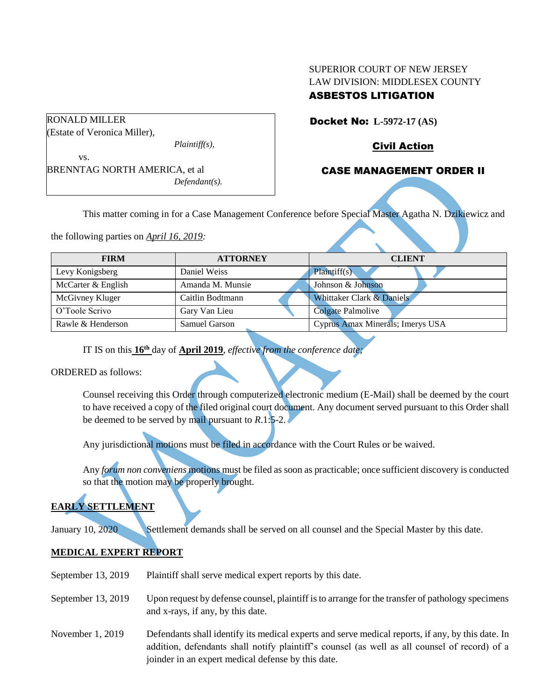# SUPERIOR COURT OF NEW JERSEY LAW DIVISION: MIDDLESEX COUNTY ASBESTOS LITIGATION

Docket No: **L-5972-17 (AS)** 

Civil Action

# CASE MANAGEMENT ORDER II

This matter coming in for a Case Management Conference before Special Master Agatha N. Dzikiewicz and

the following parties on *April 16, 2019:*

BRENNTAG NORTH AMERICA, et al

| <b>FIRM</b>        | <b>ATTORNEY</b>      | <b>CLIENT</b>                    |
|--------------------|----------------------|----------------------------------|
| Levy Konigsberg    | Daniel Weiss         | Plaintiff(s)                     |
| McCarter & English | Amanda M. Munsie     | Johnson & Johnson                |
| McGivney Kluger    | Caitlin Bodtmann     | Whittaker Clark & Daniels        |
| O'Toole Scrivo     | Gary Van Lieu        | Colgate Palmolive                |
| Rawle & Henderson  | <b>Samuel Garson</b> | Cyprus Amax Minerals; Imerys USA |

IT IS on this **16th** day of **April 2019**, *effective from the conference date;*

*Defendant(s).*

ORDERED as follows:

Counsel receiving this Order through computerized electronic medium (E-Mail) shall be deemed by the court to have received a copy of the filed original court document. Any document served pursuant to this Order shall be deemed to be served by mail pursuant to *R*.1:5-2.

Any jurisdictional motions must be filed in accordance with the Court Rules or be waived.

Any *forum non conveniens* motions must be filed as soon as practicable; once sufficient discovery is conducted so that the motion may be properly brought.

# **EARLY SETTLEMENT**

January 10, 2020 Settlement demands shall be served on all counsel and the Special Master by this date.

# **MEDICAL EXPERT REPORT**

- September 13, 2019 Plaintiff shall serve medical expert reports by this date.
- September 13, 2019 Upon request by defense counsel, plaintiff is to arrange for the transfer of pathology specimens and x-rays, if any, by this date.
- November 1, 2019 Defendants shall identify its medical experts and serve medical reports, if any, by this date. In addition, defendants shall notify plaintiff's counsel (as well as all counsel of record) of a joinder in an expert medical defense by this date.

RONALD MILLER (Estate of Veronica Miller), *Plaintiff(s),* vs.